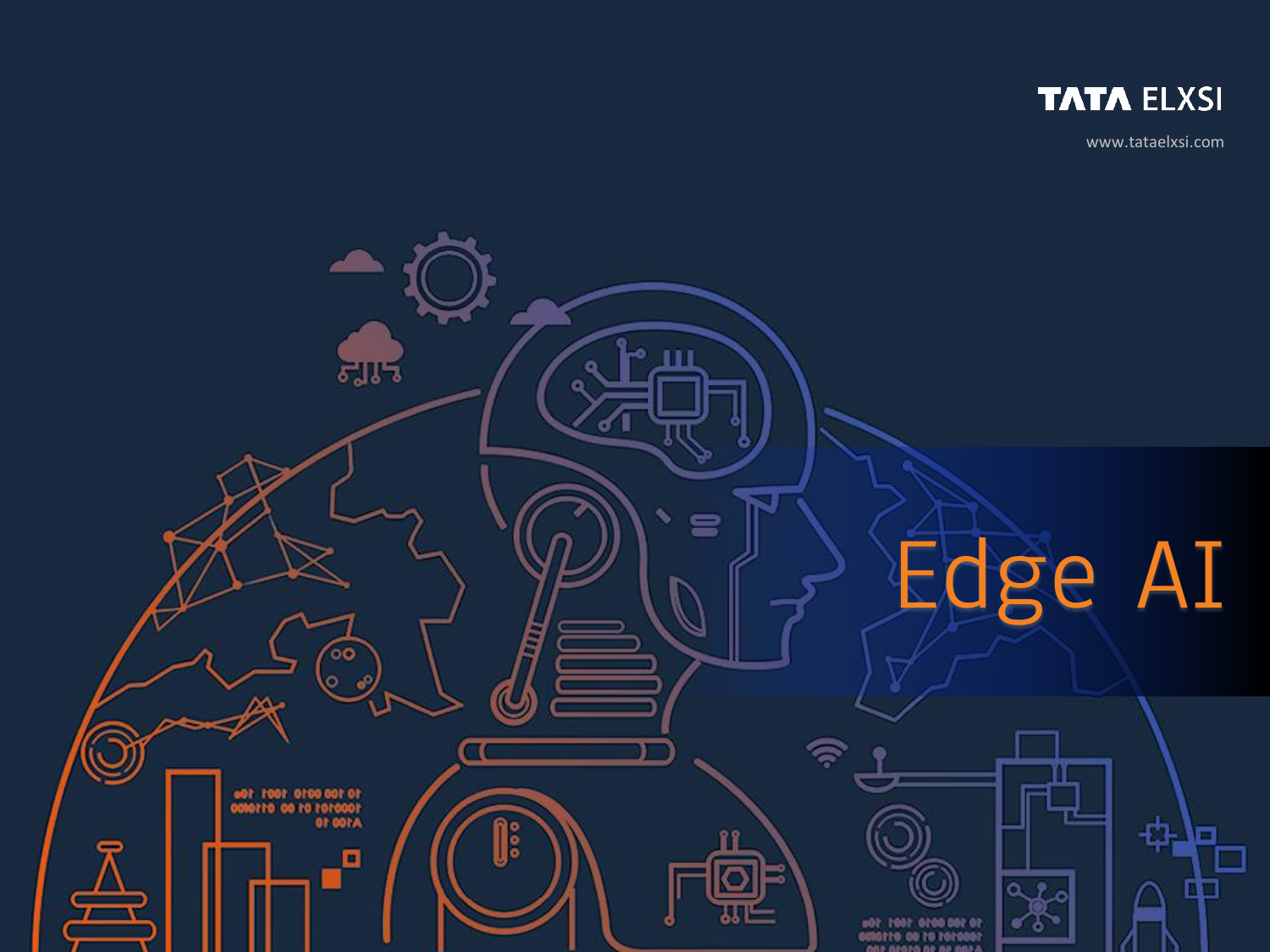

www.tataelxsi.com

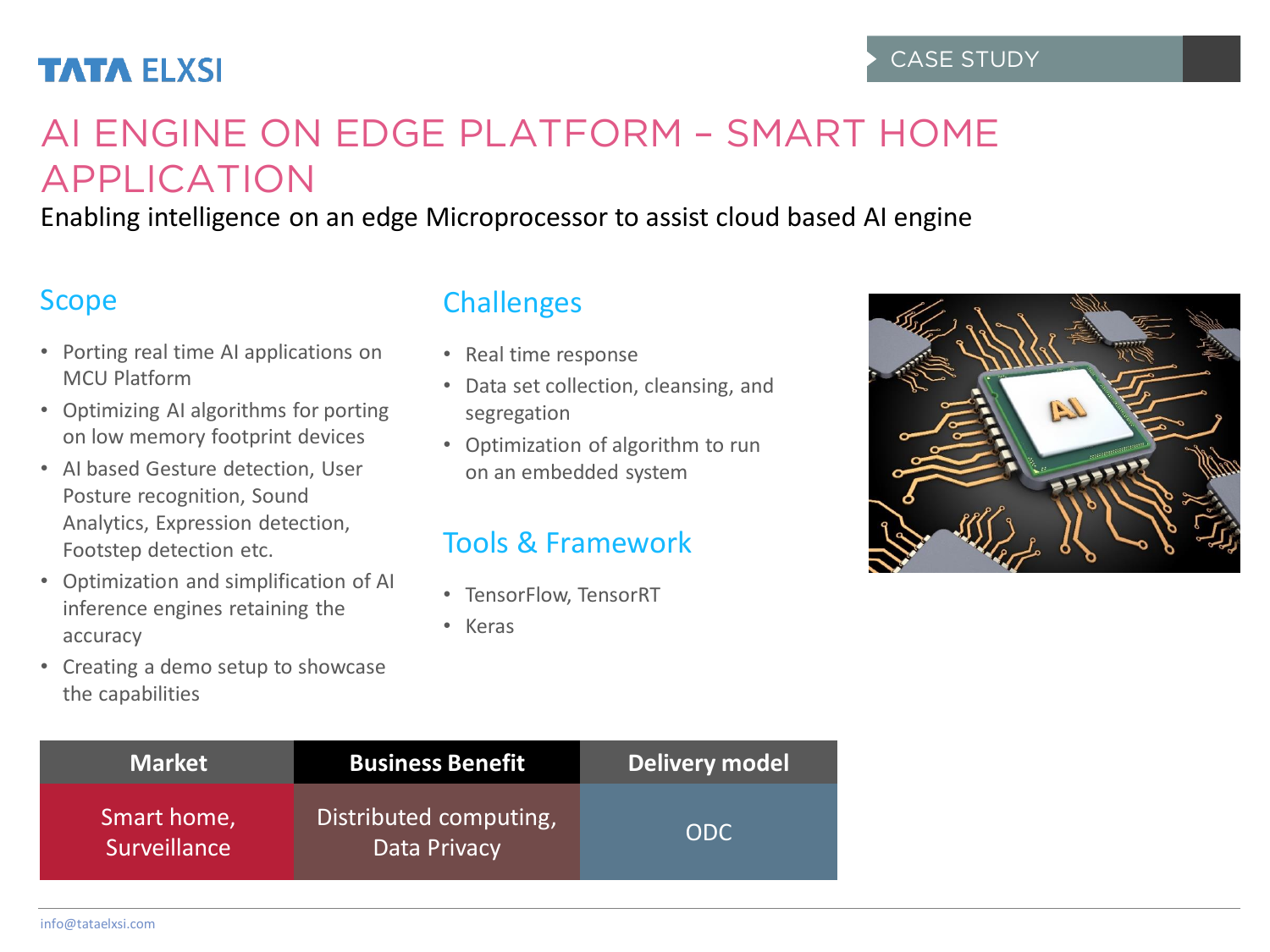# **TATA ELXSI**

# AI ENGINE ON EDGE PLATFORM – SMART HOME APPLICATION

Enabling intelligence on an edge Microprocessor to assist cloud based AI engine

### Scope

- Porting real time AI applications on MCU Platform
- Optimizing AI algorithms for porting on low memory footprint devices
- AI based Gesture detection, User Posture recognition, Sound Analytics, Expression detection, Footstep detection etc.
- Optimization and simplification of AI inference engines retaining the accuracy
- Creating a demo setup to showcase the capabilities

## **Challenges**

- Real time response
- Data set collection, cleansing, and segregation
- Optimization of algorithm to run on an embedded system

## Tools & Framework

- TensorFlow, TensorRT
- Keras



| <b>Market</b>               | <b>Business Benefit</b>                | <b>Delivery model</b> |
|-----------------------------|----------------------------------------|-----------------------|
| Smart home,<br>Surveillance | Distributed computing,<br>Data Privacy | ODC.                  |